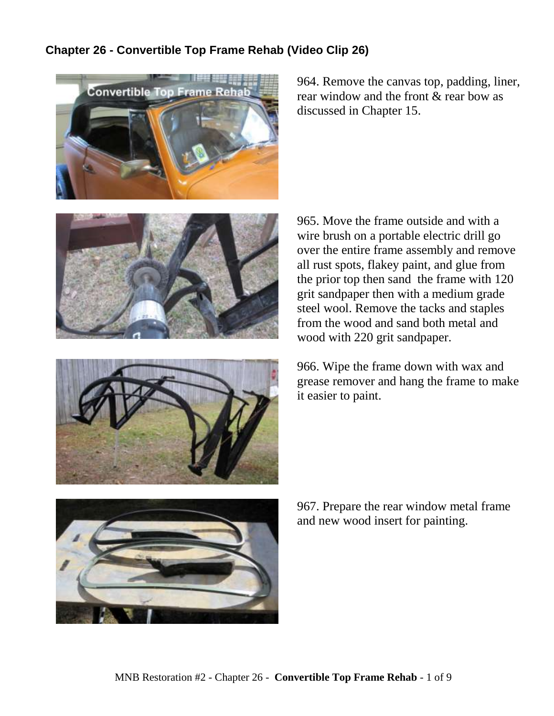## **Chapter 26 - Convertible Top Frame Rehab (Video Clip 26)**



964. Remove the canvas top, padding, liner, rear window and the front & rear bow as discussed in Chapter 15.





965. Move the frame outside and with a wire brush on a portable electric drill go over the entire frame assembly and remove all rust spots, flakey paint, and glue from the prior top then sand the frame with 120 grit sandpaper then with a medium grade steel wool. Remove the tacks and staples from the wood and sand both metal and wood with 220 grit sandpaper.

966. Wipe the frame down with wax and grease remover and hang the frame to make it easier to paint.



967. Prepare the rear window metal frame and new wood insert for painting.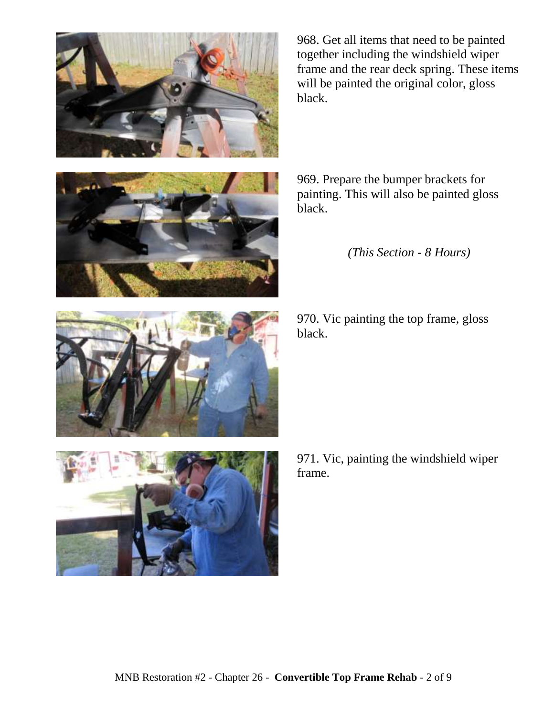





969. Prepare the bumper brackets for painting. This will also be painted gloss black.

*(This Section - 8 Hours)*

970. Vic painting the top frame, gloss black.



971. Vic, painting the windshield wiper frame.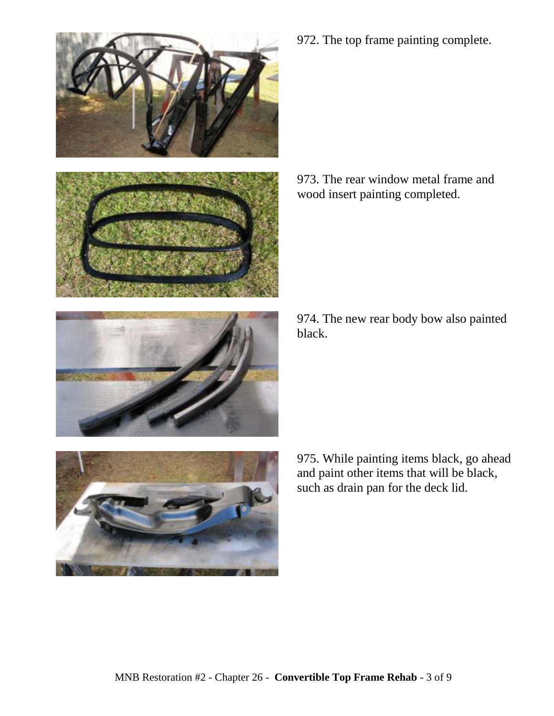

972. The top frame painting complete.

973. The rear window metal frame and wood insert painting completed.

974. The new rear body bow also painted black.

975. While painting items black, go ahead and paint other items that will be black, such as drain pan for the deck lid.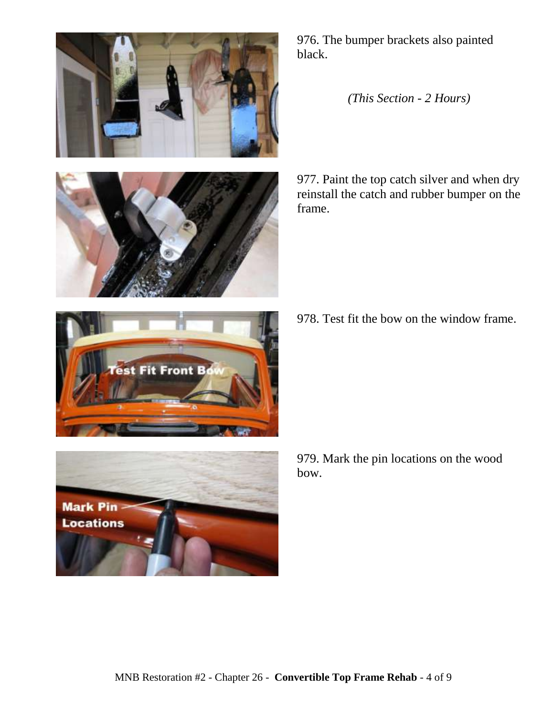



976. The bumper brackets also painted black.

*(This Section - 2 Hours)*

977. Paint the top catch silver and when dry reinstall the catch and rubber bumper on the frame.

978. Test fit the bow on the window frame.



979. Mark the pin locations on the wood bow.

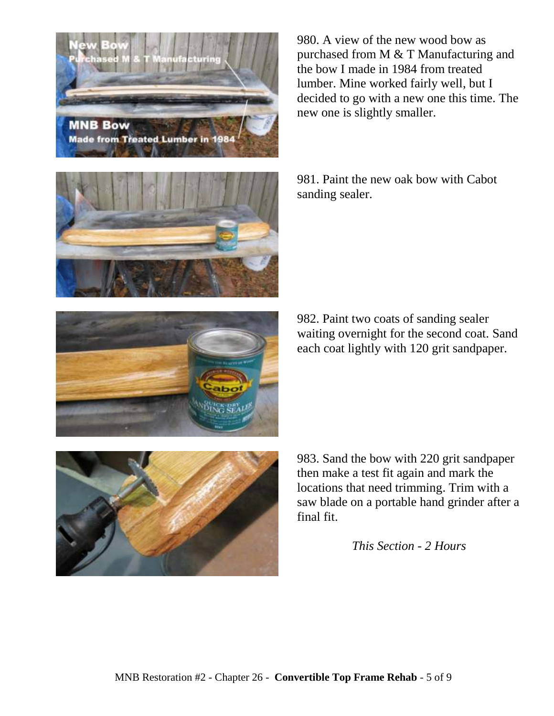



983. Sand the bow with 220 grit sandpaper then make a test fit again and mark the locations that need trimming. Trim with a saw blade on a portable hand grinder after a final fit.

*This Section - 2 Hours*

981. Paint the new oak bow with Cabot sanding sealer.

980. A view of the new wood bow as purchased from M & T Manufacturing and the bow I made in 1984 from treated lumber. Mine worked fairly well, but I decided to go with a new one this time. The new one is slightly smaller.

982. Paint two coats of sanding sealer waiting overnight for the second coat. Sand each coat lightly with 120 grit sandpaper.



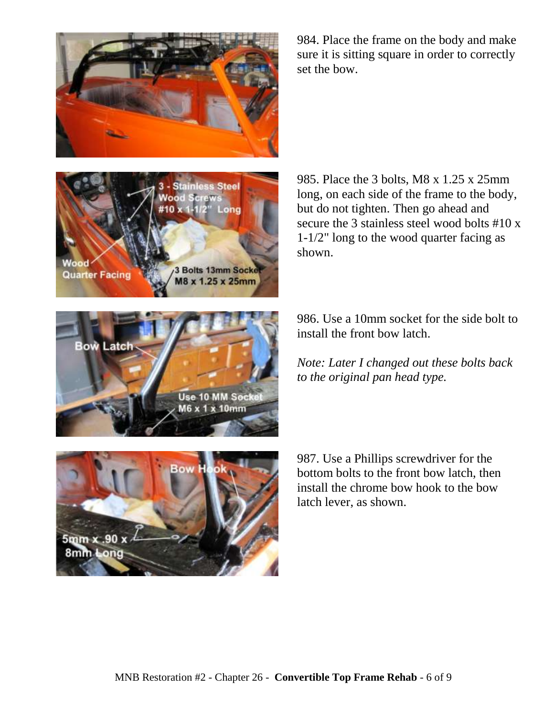

984. Place the frame on the body and make sure it is sitting square in order to correctly set the bow.



985. Place the 3 bolts, M8 x 1.25 x 25mm long, on each side of the frame to the body, but do not tighten. Then go ahead and secure the 3 stainless steel wood bolts #10 x 1-1/2" long to the wood quarter facing as shown.



986. Use a 10mm socket for the side bolt to install the front bow latch.

*Note: Later I changed out these bolts back to the original pan head type.*



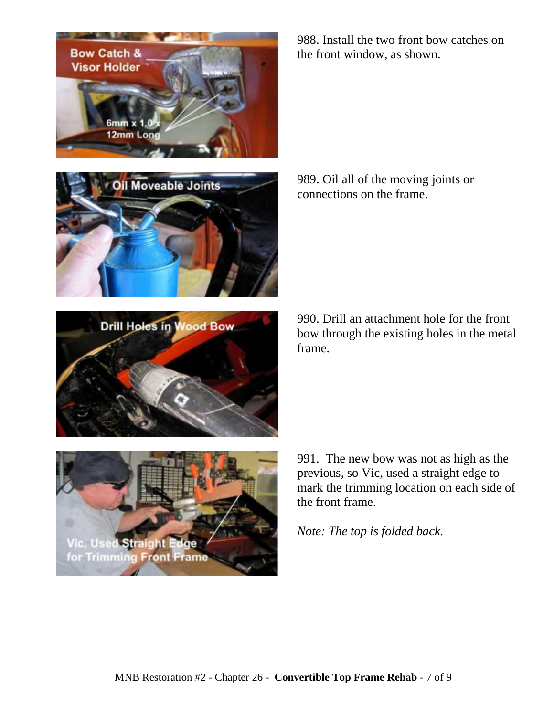

989. Oil all of the moving joints or connections on the frame.

990. Drill an attachment hole for the front bow through the existing holes in the metal frame.

991. The new bow was not as high as the previous, so Vic, used a straight edge to mark the trimming location on each side of the front frame.

*Note: The top is folded back.*





**Drill Holes in Wood Bow** 

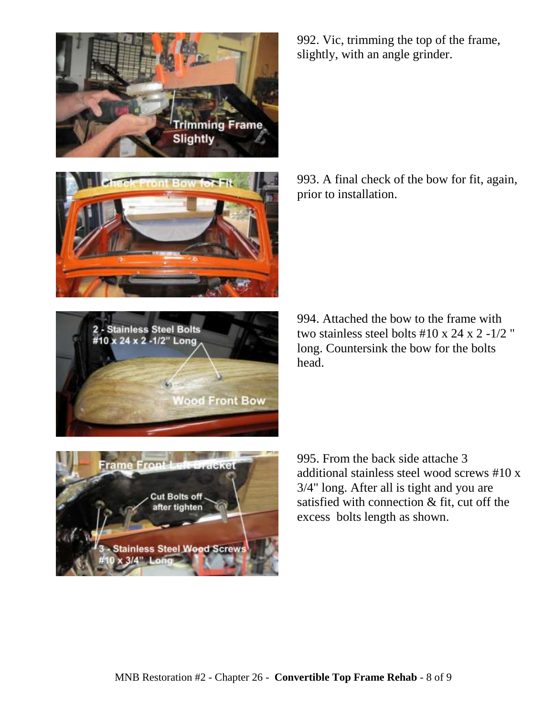





**Cut Bolts off** fter tighten **Stainless Steel Wood Screv**  $(3/4"$  Los

992. Vic, trimming the top of the frame, slightly, with an angle grinder.

993. A final check of the bow for fit, again, prior to installation.

994. Attached the bow to the frame with two stainless steel bolts  $\#10 \times 24 \times 2 - 1/2$  " long. Countersink the bow for the bolts head.

995. From the back side attache 3 additional stainless steel wood screws #10 x 3/4" long. After all is tight and you are satisfied with connection & fit, cut off the excess bolts length as shown.